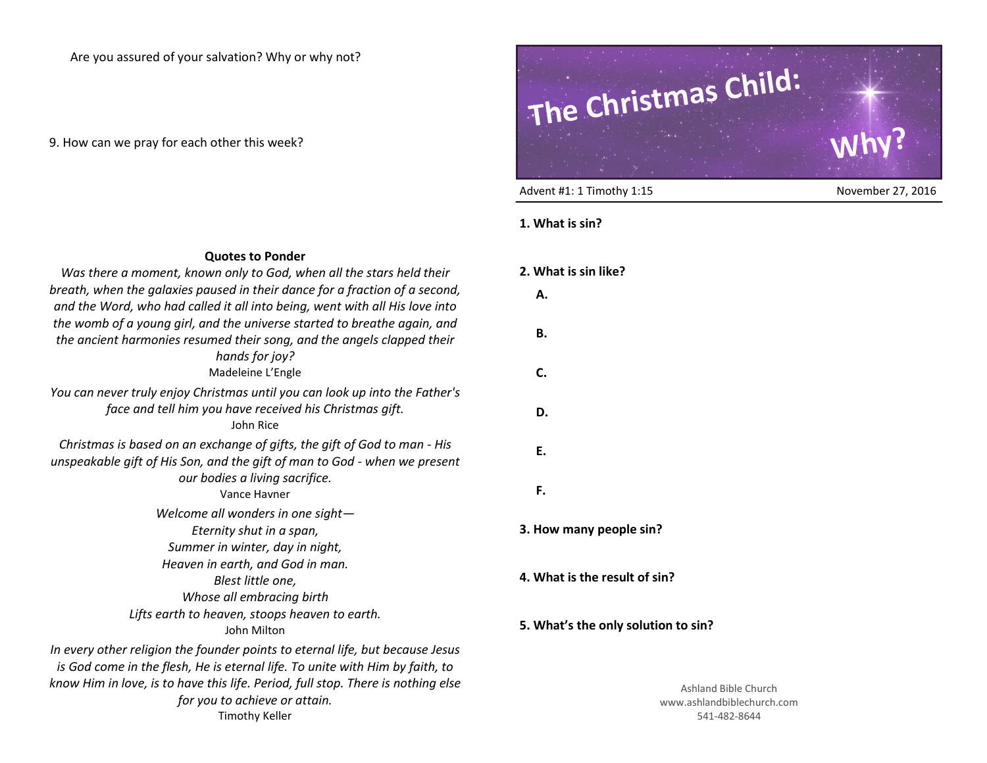Are you assured of your salvation? Why or why not?

9. How can we pray for each other this week?



Advent #1: 1 Timothy 1:15 November 27, 2016

## **1. What is sin?**

| <b>Quotes to Ponder</b>                                                                                                                                                                                                                           |              |
|---------------------------------------------------------------------------------------------------------------------------------------------------------------------------------------------------------------------------------------------------|--------------|
| Was there a moment, known only to God, when all the stars held their                                                                                                                                                                              | 2. What is s |
| breath, when the galaxies paused in their dance for a fraction of a second,<br>and the Word, who had called it all into being, went with all His love into                                                                                        | Α.           |
| the womb of a young girl, and the universe started to breathe again, and<br>the ancient harmonies resumed their song, and the angels clapped their                                                                                                | В.           |
| hands for joy?<br>Madeleine L'Engle                                                                                                                                                                                                               | C.           |
|                                                                                                                                                                                                                                                   |              |
| You can never truly enjoy Christmas until you can look up into the Father's<br>face and tell him you have received his Christmas gift.<br>John Rice                                                                                               | D.           |
| Christmas is based on an exchange of gifts, the gift of God to man - His<br>unspeakable gift of His Son, and the gift of man to God - when we present                                                                                             | E.           |
| our bodies a living sacrifice.<br>Vance Havner                                                                                                                                                                                                    | F.           |
| Welcome all wonders in one sight-                                                                                                                                                                                                                 |              |
| Eternity shut in a span,                                                                                                                                                                                                                          | 3. How mar   |
| Summer in winter, day in night,                                                                                                                                                                                                                   |              |
| Heaven in earth, and God in man.<br>Blest little one,<br>Whose all embracing birth                                                                                                                                                                | 4. What is t |
| Lifts earth to heaven, stoops heaven to earth.<br>John Milton                                                                                                                                                                                     | 5. What's th |
| In every other religion the founder points to eternal life, but because Jesus<br>is God come in the flesh, He is eternal life. To unite with Him by faith, to<br>know Him in love, is to have this life. Period, full stop. There is nothing else |              |
| for you to achieve or attain.                                                                                                                                                                                                                     |              |
| <b>Timothy Keller</b>                                                                                                                                                                                                                             |              |

## **2. What is sin like?**

- 
- 
- 
- 
- 

**ny people sin?** 

the result of sin?

## **he only solution to sin?**

Ashland Bible Church www.ashlandbiblechurch.com 541-482-8644